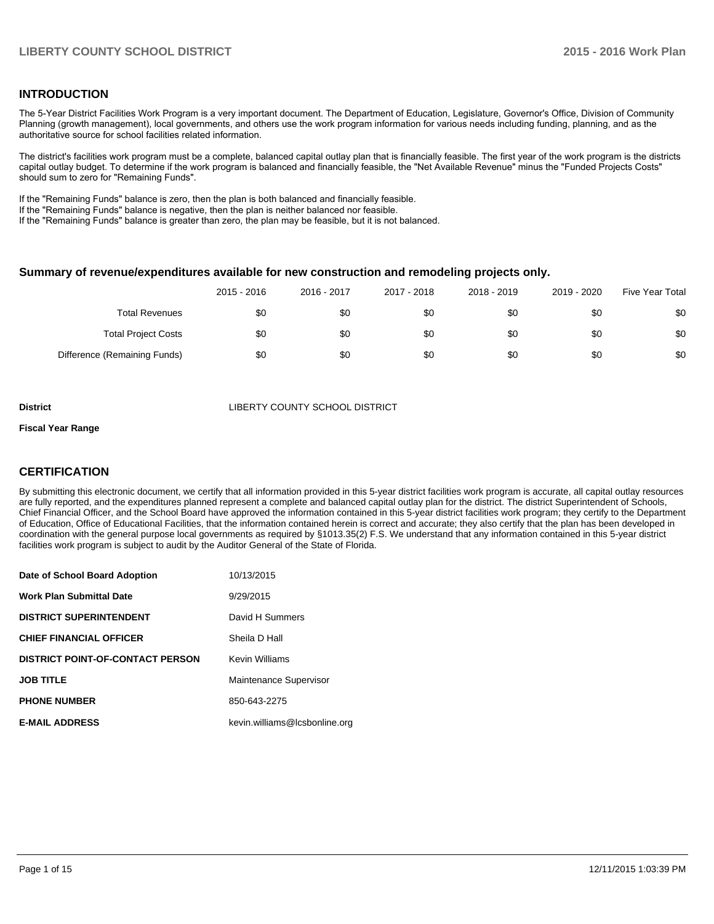### **INTRODUCTION**

The 5-Year District Facilities Work Program is a very important document. The Department of Education, Legislature, Governor's Office, Division of Community Planning (growth management), local governments, and others use the work program information for various needs including funding, planning, and as the authoritative source for school facilities related information.

The district's facilities work program must be a complete, balanced capital outlay plan that is financially feasible. The first year of the work program is the districts capital outlay budget. To determine if the work program is balanced and financially feasible, the "Net Available Revenue" minus the "Funded Projects Costs" should sum to zero for "Remaining Funds".

If the "Remaining Funds" balance is zero, then the plan is both balanced and financially feasible.

If the "Remaining Funds" balance is negative, then the plan is neither balanced nor feasible.

If the "Remaining Funds" balance is greater than zero, the plan may be feasible, but it is not balanced.

### **Summary of revenue/expenditures available for new construction and remodeling projects only.**

|                              | 2015 - 2016 | 2016 - 2017 | 2017 - 2018 | 2018 - 2019 | 2019 - 2020 | <b>Five Year Total</b> |
|------------------------------|-------------|-------------|-------------|-------------|-------------|------------------------|
| <b>Total Revenues</b>        | \$0         | \$0         | \$0         | \$0         | \$0         | \$0                    |
| <b>Total Project Costs</b>   | \$0         | \$0         | \$0         | \$0         | \$0         | \$0                    |
| Difference (Remaining Funds) | \$0         | \$0         | \$0         | \$0         | \$0         | \$0                    |

**District COUNTY SCHOOL DISTRICT** 

#### **Fiscal Year Range**

### **CERTIFICATION**

By submitting this electronic document, we certify that all information provided in this 5-year district facilities work program is accurate, all capital outlay resources are fully reported, and the expenditures planned represent a complete and balanced capital outlay plan for the district. The district Superintendent of Schools, Chief Financial Officer, and the School Board have approved the information contained in this 5-year district facilities work program; they certify to the Department of Education, Office of Educational Facilities, that the information contained herein is correct and accurate; they also certify that the plan has been developed in coordination with the general purpose local governments as required by §1013.35(2) F.S. We understand that any information contained in this 5-year district facilities work program is subject to audit by the Auditor General of the State of Florida.

| Date of School Board Adoption           | 10/13/2015                    |
|-----------------------------------------|-------------------------------|
| <b>Work Plan Submittal Date</b>         | 9/29/2015                     |
| <b>DISTRICT SUPERINTENDENT</b>          | David H Summers               |
| <b>CHIEF FINANCIAL OFFICER</b>          | Sheila D Hall                 |
| <b>DISTRICT POINT-OF-CONTACT PERSON</b> | <b>Kevin Williams</b>         |
| <b>JOB TITLE</b>                        | Maintenance Supervisor        |
| <b>PHONE NUMBER</b>                     | 850-643-2275                  |
| <b>E-MAIL ADDRESS</b>                   | kevin.williams@lcsbonline.org |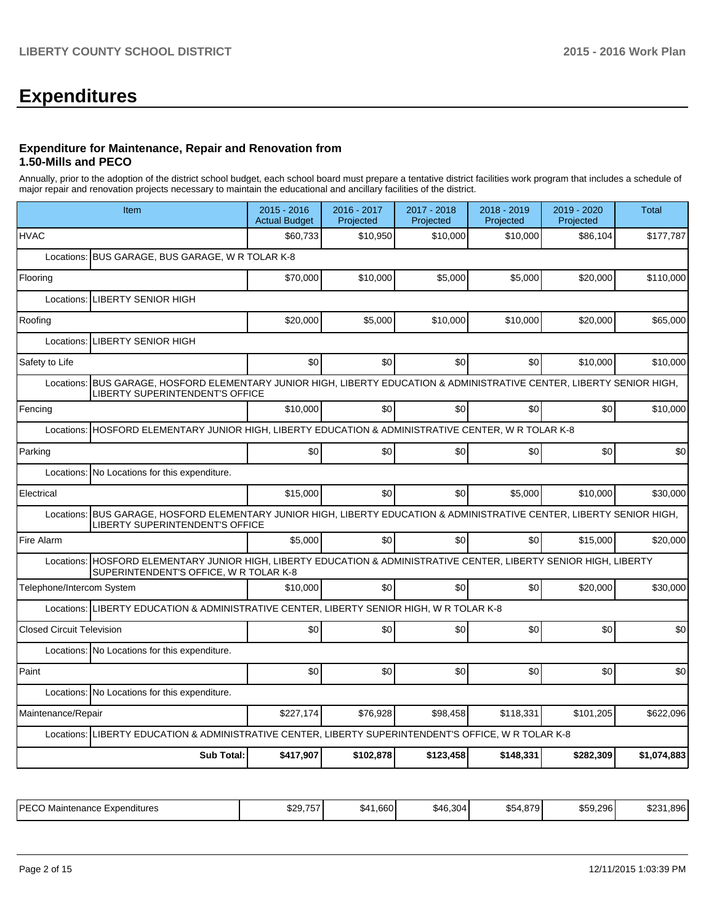# **Expenditures**

### **Expenditure for Maintenance, Repair and Renovation from 1.50-Mills and PECO**

Annually, prior to the adoption of the district school budget, each school board must prepare a tentative district facilities work program that includes a schedule of major repair and renovation projects necessary to maintain the educational and ancillary facilities of the district.

|                                  | Item                                                                                                                                                             | 2015 - 2016<br><b>Actual Budget</b> | 2016 - 2017<br>Projected | 2017 - 2018<br>Projected | 2018 - 2019<br>Projected | 2019 - 2020<br>Projected | <b>Total</b> |
|----------------------------------|------------------------------------------------------------------------------------------------------------------------------------------------------------------|-------------------------------------|--------------------------|--------------------------|--------------------------|--------------------------|--------------|
| <b>HVAC</b>                      |                                                                                                                                                                  | \$60,733                            | \$10,950                 | \$10,000                 | \$10,000                 | \$86,104                 | \$177,787    |
|                                  | Locations: BUS GARAGE, BUS GARAGE, W R TOLAR K-8                                                                                                                 |                                     |                          |                          |                          |                          |              |
| Flooring                         |                                                                                                                                                                  | \$70,000                            | \$10,000                 | \$5,000                  | \$5,000                  | \$20,000                 | \$110,000    |
| Locations:                       | <b>LIBERTY SENIOR HIGH</b>                                                                                                                                       |                                     |                          |                          |                          |                          |              |
| Roofing                          |                                                                                                                                                                  | \$20,000                            | \$5,000                  | \$10,000                 | \$10,000                 | \$20,000                 | \$65,000     |
| Locations:                       | <b>LIBERTY SENIOR HIGH</b>                                                                                                                                       |                                     |                          |                          |                          |                          |              |
| Safety to Life                   |                                                                                                                                                                  | \$0                                 | \$0                      | \$0                      | \$0                      | \$10,000                 | \$10,000     |
| Locations:                       | BUS GARAGE, HOSFORD ELEMENTARY JUNIOR HIGH, LIBERTY EDUCATION & ADMINISTRATIVE CENTER, LIBERTY SENIOR HIGH,<br>LIBERTY SUPERINTENDENT'S OFFICE                   |                                     |                          |                          |                          |                          |              |
| Fencing                          |                                                                                                                                                                  | \$10,000                            | \$0                      | \$0                      | \$0                      | \$0                      | \$10,000     |
|                                  | Locations: HOSFORD ELEMENTARY JUNIOR HIGH, LIBERTY EDUCATION & ADMINISTRATIVE CENTER, W R TOLAR K-8                                                              |                                     |                          |                          |                          |                          |              |
| Parking                          |                                                                                                                                                                  | SO <sub>2</sub>                     | \$0                      | \$0                      | \$0                      | \$0                      | \$0          |
| Locations:                       | No Locations for this expenditure.                                                                                                                               |                                     |                          |                          |                          |                          |              |
| Electrical                       |                                                                                                                                                                  | \$15,000                            | \$0                      | \$0                      | \$5,000                  | \$10,000                 | \$30,000     |
|                                  | Locations: BUS GARAGE, HOSFORD ELEMENTARY JUNIOR HIGH, LIBERTY EDUCATION & ADMINISTRATIVE CENTER, LIBERTY SENIOR HIGH,<br><b>LIBERTY SUPERINTENDENT'S OFFICE</b> |                                     |                          |                          |                          |                          |              |
| Fire Alarm                       |                                                                                                                                                                  | \$5,000                             | \$0                      | \$0                      | \$0                      | \$15,000                 | \$20,000     |
|                                  | Locations: HOSFORD ELEMENTARY JUNIOR HIGH, LIBERTY EDUCATION & ADMINISTRATIVE CENTER, LIBERTY SENIOR HIGH, LIBERTY<br>SUPERINTENDENT'S OFFICE, W R TOLAR K-8     |                                     |                          |                          |                          |                          |              |
| Telephone/Intercom System        |                                                                                                                                                                  | \$10,000                            | \$0                      | \$0                      | \$0                      | \$20,000                 | \$30,000     |
|                                  | Locations: LIBERTY EDUCATION & ADMINISTRATIVE CENTER, LIBERTY SENIOR HIGH, W R TOLAR K-8                                                                         |                                     |                          |                          |                          |                          |              |
| <b>Closed Circuit Television</b> |                                                                                                                                                                  | \$0                                 | 30                       | \$0                      | \$0                      | \$0                      | \$0          |
|                                  | Locations: No Locations for this expenditure.                                                                                                                    |                                     |                          |                          |                          |                          |              |
| Paint                            |                                                                                                                                                                  | \$0                                 | \$0                      | \$0                      | \$0                      | \$0                      | \$0          |
|                                  | Locations: No Locations for this expenditure.                                                                                                                    |                                     |                          |                          |                          |                          |              |
| Maintenance/Repair               |                                                                                                                                                                  | \$227,174                           | \$76,928                 | \$98,458                 | \$118,331                | \$101,205                | \$622,096    |
| Locations:                       | LIBERTY EDUCATION & ADMINISTRATIVE CENTER, LIBERTY SUPERINTENDENT'S OFFICE, W R TOLAR K-8                                                                        |                                     |                          |                          |                          |                          |              |
|                                  | <b>Sub Total:</b>                                                                                                                                                | \$417,907                           | \$102,878                | \$123,458                | \$148,331                | \$282,309                | \$1,074,883  |

| IPFCO<br>Maintenance<br>Expenditures<br>∟ບບ | $- - -$<br>\$29<br>. | .660<br>$\$4$ | $\sim$<br>\$46,304 | 870<br>ა54 : | \$59.296 | .896<br>con a<br>د∠ت |
|---------------------------------------------|----------------------|---------------|--------------------|--------------|----------|----------------------|
|---------------------------------------------|----------------------|---------------|--------------------|--------------|----------|----------------------|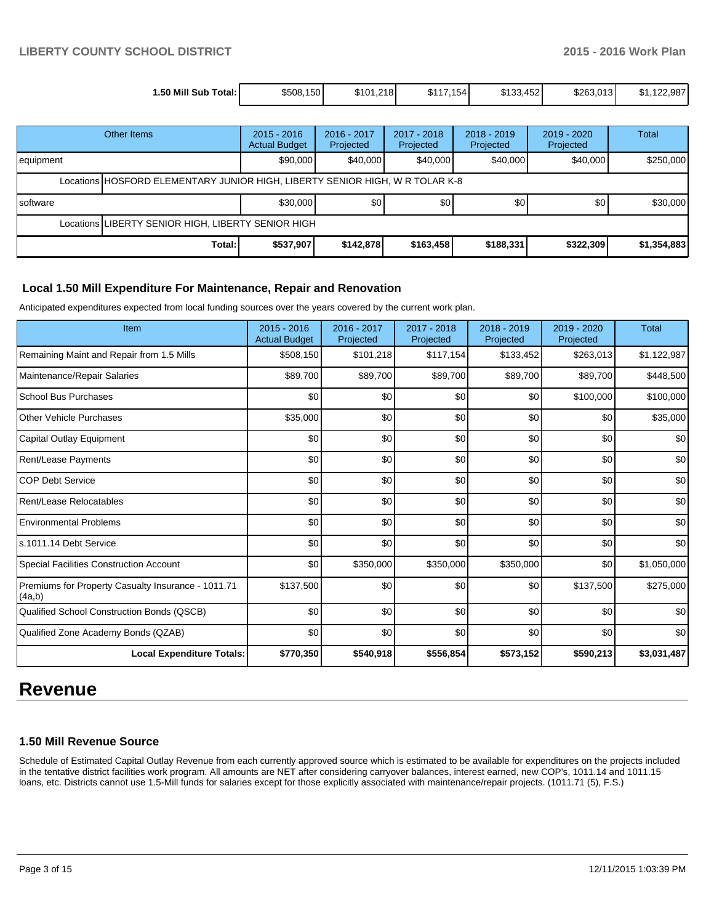| 1.50 Mill Sub Total: I | \$508,150 | \$101.218 | \$117.154 | \$133,452 | \$263,013 | 122.987<br>\$1. |
|------------------------|-----------|-----------|-----------|-----------|-----------|-----------------|

| Other Items                                                                  |        | $2015 - 2016$<br><b>Actual Budget</b> | 2016 - 2017<br>Projected | 2017 - 2018<br>Projected | $2018 - 2019$<br>Projected | $2019 - 2020$<br>Projected | Total       |  |
|------------------------------------------------------------------------------|--------|---------------------------------------|--------------------------|--------------------------|----------------------------|----------------------------|-------------|--|
| equipment                                                                    |        | \$90,000                              | \$40,000                 | \$40,000                 | \$40,000                   | \$40,000                   | \$250,000   |  |
| Locations HOSFORD ELEMENTARY JUNIOR HIGH, LIBERTY SENIOR HIGH, W R TOLAR K-8 |        |                                       |                          |                          |                            |                            |             |  |
| Isoftware                                                                    |        | \$30,000                              | \$0                      | \$0                      | \$0 <sub>1</sub>           | \$0                        | \$30,000    |  |
| Locations LIBERTY SENIOR HIGH, LIBERTY SENIOR HIGH                           |        |                                       |                          |                          |                            |                            |             |  |
|                                                                              | Total: | \$537,907                             | \$142,878                | \$163,458                | \$188,331                  | \$322,309                  | \$1,354,883 |  |

# **Local 1.50 Mill Expenditure For Maintenance, Repair and Renovation**

Anticipated expenditures expected from local funding sources over the years covered by the current work plan.

| Item                                                         | $2015 - 2016$<br><b>Actual Budget</b> | 2016 - 2017<br>Projected | 2017 - 2018<br>Projected | $2018 - 2019$<br>Projected | $2019 - 2020$<br>Projected | <b>Total</b> |
|--------------------------------------------------------------|---------------------------------------|--------------------------|--------------------------|----------------------------|----------------------------|--------------|
| Remaining Maint and Repair from 1.5 Mills                    | \$508,150                             | \$101,218                | \$117,154                | \$133,452                  | \$263,013                  | \$1,122,987  |
| Maintenance/Repair Salaries                                  | \$89,700                              | \$89,700                 | \$89,700                 | \$89,700                   | \$89,700                   | \$448,500    |
| <b>School Bus Purchases</b>                                  | \$0                                   | \$0                      | \$0                      | \$0                        | \$100,000                  | \$100,000    |
| <b>Other Vehicle Purchases</b>                               | \$35,000                              | \$0                      | \$0                      | \$0                        | \$0                        | \$35,000     |
| Capital Outlay Equipment                                     | \$0                                   | \$0                      | \$0                      | \$0                        | \$0                        | \$0          |
| <b>Rent/Lease Payments</b>                                   | \$0                                   | \$0                      | \$0                      | \$0                        | \$0                        | \$0          |
| <b>COP Debt Service</b>                                      | \$0                                   | \$0                      | \$0                      | \$0                        | \$0                        | \$0          |
| Rent/Lease Relocatables                                      | \$0                                   | \$0                      | \$0                      | \$0                        | \$0                        | \$0          |
| <b>Environmental Problems</b>                                | \$0                                   | \$0                      | \$0                      | \$0                        | \$0                        | \$0          |
| ls.1011.14 Debt Service                                      | \$0                                   | \$0                      | \$0                      | \$0                        | \$0                        | \$0          |
| Special Facilities Construction Account                      | \$0                                   | \$350,000                | \$350,000                | \$350,000                  | \$0                        | \$1,050,000  |
| Premiums for Property Casualty Insurance - 1011.71<br>(4a,b) | \$137,500                             | \$0                      | \$0                      | \$0                        | \$137,500                  | \$275,000    |
| Qualified School Construction Bonds (QSCB)                   | \$0                                   | \$0                      | \$0                      | \$0                        | \$0                        | \$0          |
| Qualified Zone Academy Bonds (QZAB)                          | \$0                                   | \$0                      | \$0                      | \$0                        | \$0                        | \$0          |
| <b>Local Expenditure Totals:</b>                             | \$770,350                             | \$540,918                | \$556,854                | \$573,152                  | \$590,213                  | \$3,031,487  |

# **Revenue**

### **1.50 Mill Revenue Source**

Schedule of Estimated Capital Outlay Revenue from each currently approved source which is estimated to be available for expenditures on the projects included in the tentative district facilities work program. All amounts are NET after considering carryover balances, interest earned, new COP's, 1011.14 and 1011.15 loans, etc. Districts cannot use 1.5-Mill funds for salaries except for those explicitly associated with maintenance/repair projects. (1011.71 (5), F.S.)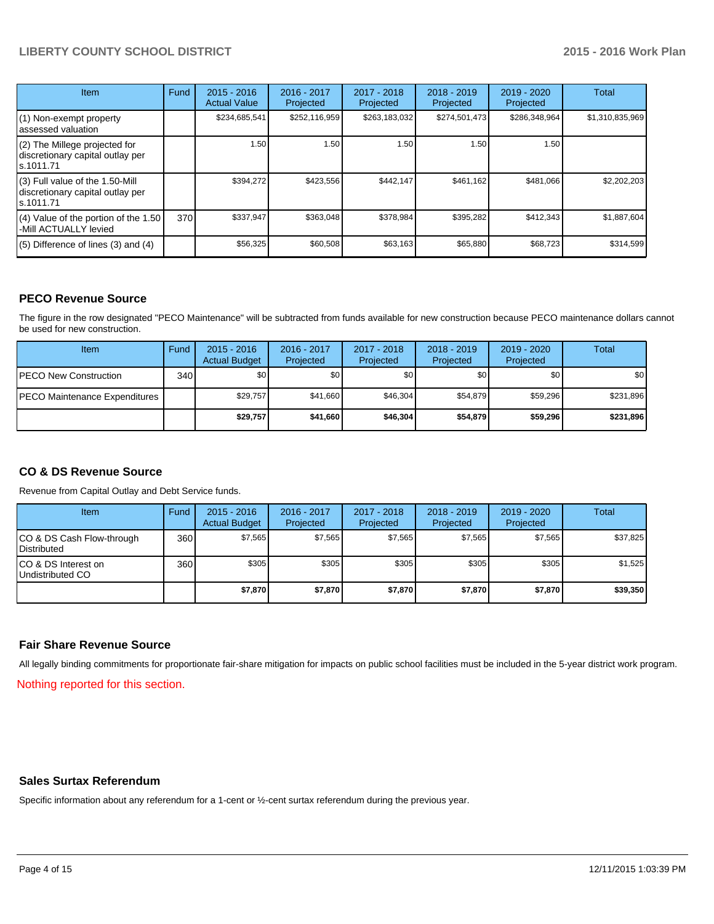| <b>Item</b>                                                                         | Fund | $2015 - 2016$<br><b>Actual Value</b> | 2016 - 2017<br>Projected | $2017 - 2018$<br>Projected | $2018 - 2019$<br>Projected | 2019 - 2020<br>Projected | Total           |
|-------------------------------------------------------------------------------------|------|--------------------------------------|--------------------------|----------------------------|----------------------------|--------------------------|-----------------|
| (1) Non-exempt property<br>lassessed valuation                                      |      | \$234,685,541                        | \$252,116,959            | \$263,183,032              | \$274,501,473              | \$286,348,964            | \$1,310,835,969 |
| (2) The Millege projected for<br>discretionary capital outlay per<br>ls.1011.71     |      | 1.50                                 | 1.50                     | 1.50                       | 1.50                       | 1.50                     |                 |
| $(3)$ Full value of the 1.50-Mill<br>discretionary capital outlay per<br>ls.1011.71 |      | \$394,272                            | \$423,556                | \$442,147                  | \$461,162                  | \$481,066                | \$2,202,203     |
| (4) Value of the portion of the 1.50<br>-Mill ACTUALLY levied                       | 370  | \$337,947                            | \$363,048                | \$378,984                  | \$395,282                  | \$412,343                | \$1,887,604     |
| $(5)$ Difference of lines $(3)$ and $(4)$                                           |      | \$56,325                             | \$60,508                 | \$63,163                   | \$65,880                   | \$68,723                 | \$314,599       |

# **PECO Revenue Source**

The figure in the row designated "PECO Maintenance" will be subtracted from funds available for new construction because PECO maintenance dollars cannot be used for new construction.

| <b>Item</b>                           | Fund | $2015 - 2016$<br><b>Actual Budget</b> | 2016 - 2017<br>Projected | $2017 - 2018$<br>Projected | $2018 - 2019$<br>Projected | $2019 - 2020$<br>Projected | Total     |
|---------------------------------------|------|---------------------------------------|--------------------------|----------------------------|----------------------------|----------------------------|-----------|
| <b>IPECO New Construction</b>         | 340  | \$0                                   | \$0                      | \$0                        | \$0                        | \$0                        | \$0       |
| <b>IPECO Maintenance Expenditures</b> |      | \$29,757                              | \$41,660                 | \$46.304                   | \$54.879                   | \$59,296                   | \$231,896 |
|                                       |      | \$29,757                              | \$41,660                 | \$46,304                   | \$54.879                   | \$59,296                   | \$231,896 |

# **CO & DS Revenue Source**

Revenue from Capital Outlay and Debt Service funds.

| <b>Item</b>                                       | Fund | $2015 - 2016$<br><b>Actual Budget</b> | 2016 - 2017<br>Projected | 2017 - 2018<br>Projected | $2018 - 2019$<br>Projected | 2019 - 2020<br>Projected | Total    |
|---------------------------------------------------|------|---------------------------------------|--------------------------|--------------------------|----------------------------|--------------------------|----------|
| CO & DS Cash Flow-through<br><b>I</b> Distributed | 360  | \$7.565                               | \$7,565                  | \$7,565                  | \$7.565                    | \$7,565                  | \$37,825 |
| ICO & DS Interest on<br>Undistributed CO          | 360  | \$305                                 | \$305                    | \$305                    | \$305                      | \$305                    | \$1,525  |
|                                                   |      | \$7,870                               | \$7,870                  | \$7,870                  | \$7,870                    | \$7,870                  | \$39,350 |

### **Fair Share Revenue Source**

All legally binding commitments for proportionate fair-share mitigation for impacts on public school facilities must be included in the 5-year district work program.

Nothing reported for this section.

### **Sales Surtax Referendum**

Specific information about any referendum for a 1-cent or ½-cent surtax referendum during the previous year.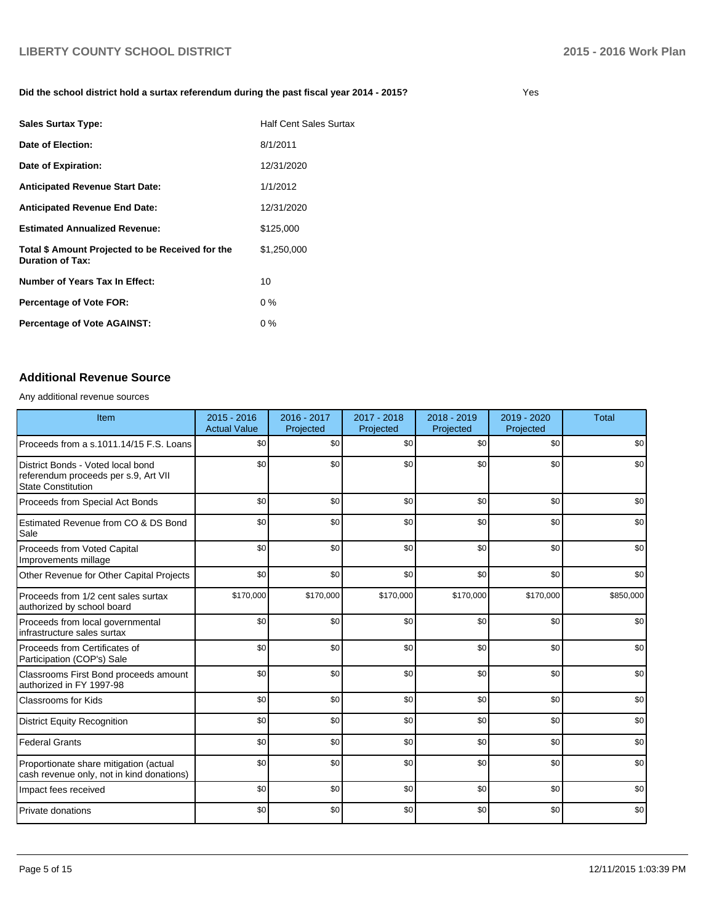### **Did the school district hold a surtax referendum during the past fiscal year 2014 - 2015?**

| <b>Sales Surtax Type:</b>                                                   | <b>Half Cent Sales Surtax</b> |
|-----------------------------------------------------------------------------|-------------------------------|
| Date of Election:                                                           | 8/1/2011                      |
| Date of Expiration:                                                         | 12/31/2020                    |
| <b>Anticipated Revenue Start Date:</b>                                      | 1/1/2012                      |
| <b>Anticipated Revenue End Date:</b>                                        | 12/31/2020                    |
| <b>Estimated Annualized Revenue:</b>                                        | \$125,000                     |
| Total \$ Amount Projected to be Received for the<br><b>Duration of Tax:</b> | \$1,250,000                   |
| Number of Years Tax In Effect:                                              | 10                            |
| <b>Percentage of Vote FOR:</b>                                              | $0\%$                         |
| <b>Percentage of Vote AGAINST:</b>                                          | $0\%$                         |

# **Additional Revenue Source**

Any additional revenue sources

| Item                                                                                                   | $2015 - 2016$<br><b>Actual Value</b> | 2016 - 2017<br>Projected | 2017 - 2018<br>Projected | 2018 - 2019<br>Projected | 2019 - 2020<br>Projected | <b>Total</b> |
|--------------------------------------------------------------------------------------------------------|--------------------------------------|--------------------------|--------------------------|--------------------------|--------------------------|--------------|
| Proceeds from a s.1011.14/15 F.S. Loans                                                                | \$0                                  | \$0                      | \$0                      | $s$ <sub>0</sub>         | \$0                      | \$0          |
| District Bonds - Voted local bond<br>referendum proceeds per s.9, Art VII<br><b>State Constitution</b> | \$0                                  | \$0                      | \$0                      | $s$ <sub>0</sub>         | \$0                      | \$0          |
| Proceeds from Special Act Bonds                                                                        | \$0                                  | \$0                      | \$0                      | \$0                      | \$0                      | \$0          |
| Estimated Revenue from CO & DS Bond<br>Sale                                                            | \$0                                  | \$0                      | \$0                      | \$0                      | \$0                      | \$0          |
| Proceeds from Voted Capital<br>Improvements millage                                                    | \$0                                  | \$0                      | \$0                      | $s$ <sub>0</sub>         | \$0                      | \$0          |
| Other Revenue for Other Capital Projects                                                               | \$0                                  | \$0                      | \$0                      | \$0                      | \$0                      | \$0          |
| Proceeds from 1/2 cent sales surtax<br>authorized by school board                                      | \$170,000                            | \$170,000                | \$170,000                | \$170,000                | \$170,000                | \$850,000    |
| Proceeds from local governmental<br>infrastructure sales surtax                                        | \$0                                  | \$0                      | \$0                      | \$0                      | \$0                      | \$0          |
| Proceeds from Certificates of<br>Participation (COP's) Sale                                            | \$0                                  | \$0                      | \$0                      | \$0                      | \$0                      | \$0          |
| Classrooms First Bond proceeds amount<br>authorized in FY 1997-98                                      | \$0                                  | \$0                      | \$0                      | \$0                      | \$0                      | \$0          |
| <b>Classrooms for Kids</b>                                                                             | \$0                                  | \$0                      | \$0                      | \$0                      | \$0                      | \$0          |
| <b>District Equity Recognition</b>                                                                     | \$0                                  | \$0                      | \$0                      | \$0                      | \$0                      | \$0          |
| <b>Federal Grants</b>                                                                                  | \$0                                  | \$0                      | \$0                      | \$0                      | \$0                      | \$0          |
| Proportionate share mitigation (actual<br>cash revenue only, not in kind donations)                    | \$0                                  | \$0                      | \$0                      | \$0                      | \$0                      | \$0          |
| Impact fees received                                                                                   | \$0                                  | \$0                      | \$0                      | $s$ <sub>0</sub>         | \$0                      | \$0          |
| Private donations                                                                                      | \$0                                  | \$0                      | \$0                      | \$0                      | \$0                      | \$0          |

Yes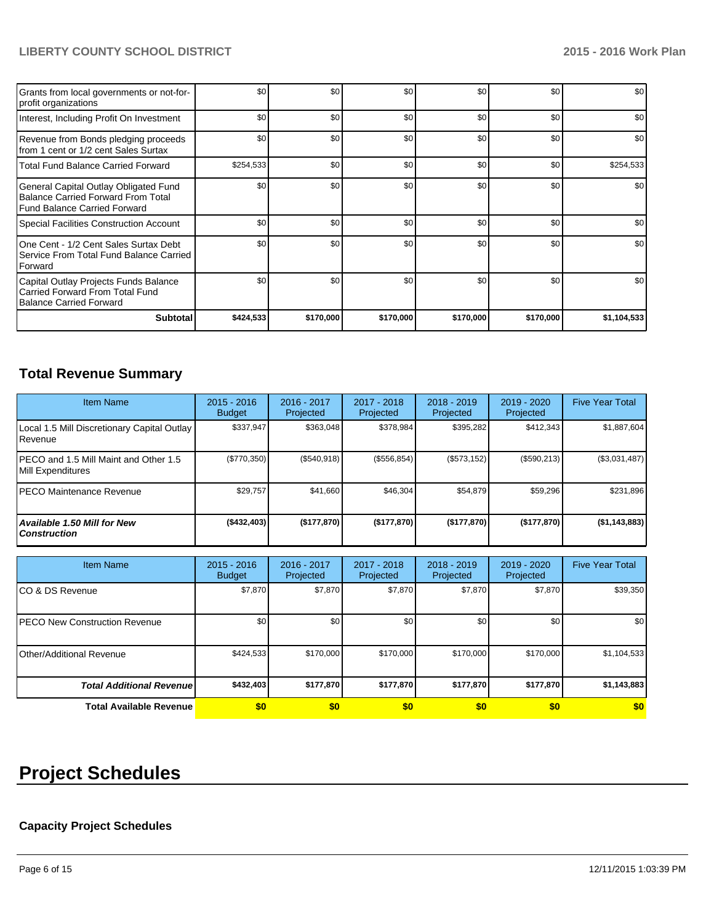| Grants from local governments or not-for-<br>profit organizations                                                  | \$0       | \$0       | \$0       | \$0       | \$0       | \$0         |
|--------------------------------------------------------------------------------------------------------------------|-----------|-----------|-----------|-----------|-----------|-------------|
| Interest, Including Profit On Investment                                                                           | \$0       | \$0       | \$0       | \$0       | \$0       | \$0         |
| Revenue from Bonds pledging proceeds<br>Ifrom 1 cent or 1/2 cent Sales Surtax                                      | \$0       | \$0       | \$0       | \$0       | \$0       | \$0         |
| l Total Fund Balance Carried Forward                                                                               | \$254,533 | \$0       | \$0       | \$0       | \$0       | \$254,533   |
| General Capital Outlay Obligated Fund<br><b>Balance Carried Forward From Total</b><br>Fund Balance Carried Forward | \$0       | \$0       | \$0       | \$0       | \$0       | \$0         |
| Special Facilities Construction Account                                                                            | \$0       | \$0       | \$0       | \$0       | \$0       | \$0         |
| One Cent - 1/2 Cent Sales Surtax Debt<br>l Service From Total Fund Balance Carried<br><b>I</b> Forward             | \$0       | \$0       | \$0       | \$0       | \$0       | \$0         |
| Capital Outlay Projects Funds Balance<br>Carried Forward From Total Fund<br>Balance Carried Forward                | \$0       | \$0       | \$0       | \$0       | \$0       | \$0         |
| <b>Subtotal</b>                                                                                                    | \$424,533 | \$170,000 | \$170,000 | \$170,000 | \$170,000 | \$1,104,533 |

# **Total Revenue Summary**

| <b>Item Name</b>                                                | $2015 - 2016$<br><b>Budget</b> | 2016 - 2017<br>Projected | $2017 - 2018$<br>Projected | $2018 - 2019$<br>Projected | 2019 - 2020<br>Projected | <b>Five Year Total</b> |
|-----------------------------------------------------------------|--------------------------------|--------------------------|----------------------------|----------------------------|--------------------------|------------------------|
| Local 1.5 Mill Discretionary Capital Outlay<br><b>I</b> Revenue | \$337.947                      | \$363,048                | \$378.984                  | \$395,282                  | \$412.343                | \$1,887,604            |
| IPECO and 1.5 Mill Maint and Other 1.5<br>Mill Expenditures     | (\$770,350)                    | (S540.918)               | $($ \$556,854) $ $         | (\$573,152)                | (\$590,213)              | (\$3,031,487)          |
| IPECO Maintenance Revenue                                       | \$29,757                       | \$41,660                 | \$46,304                   | \$54.879                   | \$59,296                 | \$231,896              |
| Available 1.50 Mill for New l<br>l Construction                 | ( \$432,403)                   | (\$177,870)              | (\$177,870)                | (\$177,870)                | (\$177,870)              | (\$1,143,883)          |

| <b>Item Name</b>                      | $2015 - 2016$<br><b>Budget</b> | 2016 - 2017<br>Projected | 2017 - 2018<br>Projected | $2018 - 2019$<br>Projected | $2019 - 2020$<br>Projected | <b>Five Year Total</b> |
|---------------------------------------|--------------------------------|--------------------------|--------------------------|----------------------------|----------------------------|------------------------|
| ICO & DS Revenue                      | \$7,870                        | \$7,870                  | \$7,870                  | \$7,870                    | \$7,870                    | \$39,350               |
| <b>IPECO New Construction Revenue</b> | \$0                            | \$0                      | \$0                      | \$0                        | \$0                        | \$0 <sub>1</sub>       |
| Other/Additional Revenue              | \$424.533                      | \$170,000                | \$170,000                | \$170,000                  | \$170,000                  | \$1,104,533            |
| <b>Total Additional Revenuel</b>      | \$432,403                      | \$177,870                | \$177,870                | \$177,870                  | \$177,870                  | \$1,143,883            |
| Total Available Revenue               | \$0                            | \$0                      | \$0                      | \$0                        | \$0                        | \$0                    |

# **Project Schedules**

# **Capacity Project Schedules**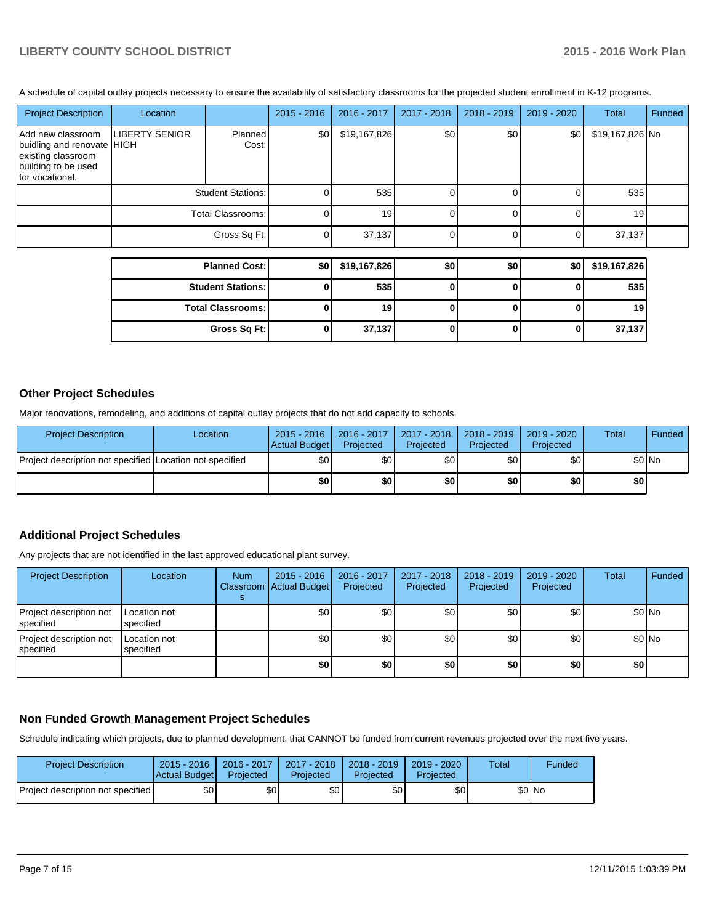A schedule of capital outlay projects necessary to ensure the availability of satisfactory classrooms for the projected student enrollment in K-12 programs.

| <b>Project Description</b>                                                                                      | Location          |                          | 2015 - 2016  | 2016 - 2017     | 2017 - 2018 | $2018 - 2019$ | 2019 - 2020 | Total           | Funded |
|-----------------------------------------------------------------------------------------------------------------|-------------------|--------------------------|--------------|-----------------|-------------|---------------|-------------|-----------------|--------|
| Add new classroom<br>buidling and renovate HIGH<br>existing classroom<br>building to be used<br>for vocational. | LIBERTY SENIOR    | Planned<br>Cost:         | \$0]         | \$19,167,826    | \$0         | \$0           | \$0         | \$19,167,826 No |        |
|                                                                                                                 |                   | <b>Student Stations:</b> | ΩI           | 535             |             |               |             | 535             |        |
|                                                                                                                 | Total Classrooms: |                          | $\Omega$     | 19 <sup>l</sup> |             |               |             | 19              |        |
|                                                                                                                 |                   | Gross Sq Ft:             | $\Omega$     | 37,137          |             |               |             | 37,137          |        |
|                                                                                                                 |                   |                          |              |                 |             |               |             |                 |        |
|                                                                                                                 |                   | <b>Planned Cost:</b>     | \$0          | \$19,167,826    | \$0         | \$0           | \$0         | \$19,167,826    |        |
|                                                                                                                 |                   | <b>Student Stations:</b> | $\Omega$     | 535             | O           |               |             | 535             |        |
|                                                                                                                 |                   | <b>Total Classrooms:</b> | $\mathbf{0}$ | 19              |             |               |             | 19              |        |

**Gross Sq Ft: 0 37,137 0 0 0 37,137**

### **Other Project Schedules**

Major renovations, remodeling, and additions of capital outlay projects that do not add capacity to schools.

| <b>Project Description</b>                               | Location | $2015 - 2016$<br>Actual Budget | 2016 - 2017<br>Projected | 2017 - 2018<br>Projected | 2018 - 2019<br>Projected | 2019 - 2020<br>Projected | Total  | Funded |
|----------------------------------------------------------|----------|--------------------------------|--------------------------|--------------------------|--------------------------|--------------------------|--------|--------|
| Project description not specified Location not specified |          | \$0                            | \$0l                     | \$0                      | \$0 I                    | \$0                      | \$0 No |        |
|                                                          |          | \$0                            | \$O                      | \$0                      | ا 30                     | \$0                      | \$O    |        |

### **Additional Project Schedules**

Any projects that are not identified in the last approved educational plant survey.

| <b>Project Description</b>           | Location                  | <b>Num</b> | $2015 - 2016$<br>Classroom   Actual Budget | 2016 - 2017<br>Projected | 2017 - 2018<br>Projected | 2018 - 2019<br>Projected | 2019 - 2020<br>Projected | Total | Funded |
|--------------------------------------|---------------------------|------------|--------------------------------------------|--------------------------|--------------------------|--------------------------|--------------------------|-------|--------|
| Project description not<br>specified | Location not<br>specified |            | \$0 <sub>1</sub>                           | \$0                      | \$0                      | \$0                      | \$0                      |       | \$0 No |
| Project description not<br>specified | Location not<br>specified |            | \$0                                        | \$0                      | \$0                      | \$0                      | \$0                      |       | \$0 No |
|                                      |                           |            | \$0                                        | \$0                      | \$0                      | \$0                      | \$0                      | \$0   |        |

### **Non Funded Growth Management Project Schedules**

Schedule indicating which projects, due to planned development, that CANNOT be funded from current revenues projected over the next five years.

| <b>Project Description</b>                | $2015 - 2016$<br>Actual Budget | 2016 - 2017<br>Projected | 2017 - 2018<br>Projected | $2018 - 2019$<br>Projected | $2019 - 2020$<br>Projected | Total | Funded |
|-------------------------------------------|--------------------------------|--------------------------|--------------------------|----------------------------|----------------------------|-------|--------|
| <b>IProject description not specified</b> | \$0                            | \$0                      | \$0                      | \$٥Ι                       | \$OI                       |       | \$0 No |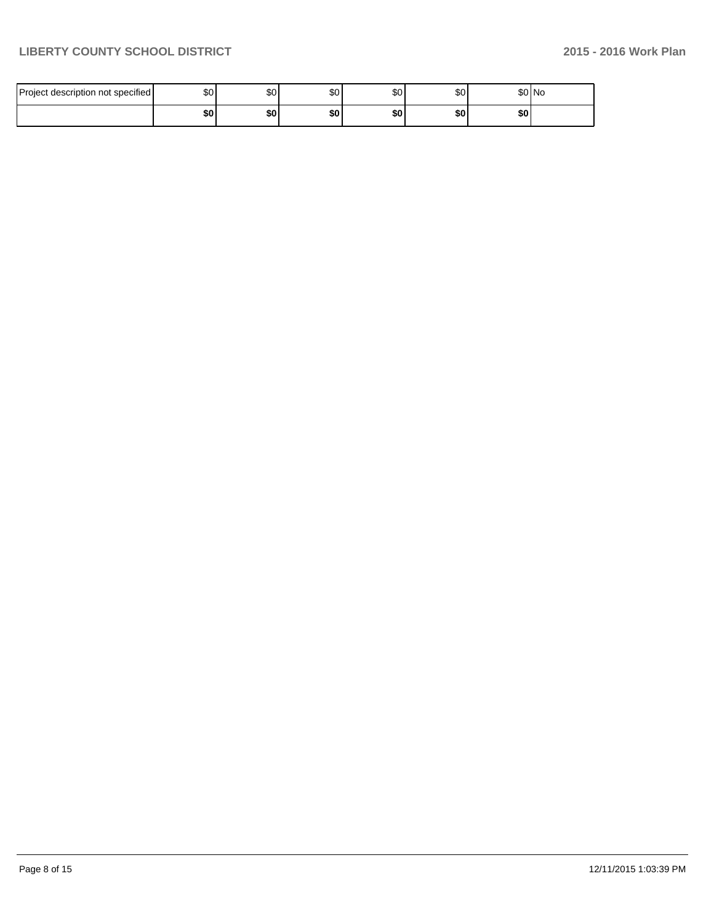| description not specified<br><b>IProject</b> | \$0 | \$0 | ሰሰ<br>w  | \$0       | \$0 | 0.011<br><b>SUING</b> |  |
|----------------------------------------------|-----|-----|----------|-----------|-----|-----------------------|--|
|                                              | \$0 | \$0 | œ٥<br>æи | e n<br>wu | \$0 | \$0                   |  |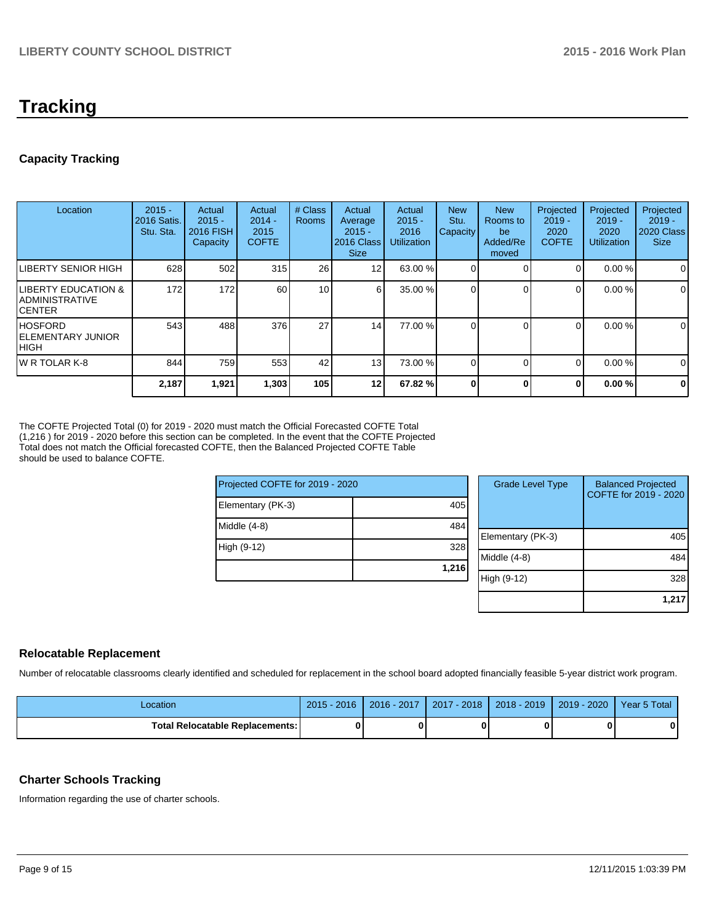# **Tracking**

# **Capacity Tracking**

| Location                                                      | $2015 -$<br>2016 Satis.<br>Stu. Sta. | Actual<br>$2015 -$<br><b>2016 FISH</b><br>Capacity | Actual<br>$2014 -$<br>2015<br><b>COFTE</b> | # Class<br><b>Rooms</b> | Actual<br>Average<br>$2015 -$<br>2016 Class<br><b>Size</b> | Actual<br>$2015 -$<br>2016<br><b>Utilization</b> | <b>New</b><br>Stu.<br>Capacity | <b>New</b><br>Rooms to<br>be<br>Added/Re<br>moved | Projected<br>$2019 -$<br>2020<br><b>COFTE</b> | Projected<br>$2019 -$<br>2020<br><b>Utilization</b> | Projected<br>$2019 -$<br>2020 Class<br><b>Size</b> |
|---------------------------------------------------------------|--------------------------------------|----------------------------------------------------|--------------------------------------------|-------------------------|------------------------------------------------------------|--------------------------------------------------|--------------------------------|---------------------------------------------------|-----------------------------------------------|-----------------------------------------------------|----------------------------------------------------|
| ILIBERTY SENIOR HIGH                                          | 628                                  | 502                                                | 315                                        | 26                      | 12                                                         | 63.00 %                                          |                                |                                                   | $\Omega$                                      | 0.00%                                               | $\mathbf 0$                                        |
| <b>ILIBERTY EDUCATION &amp;</b><br>IADMINISTRATIVE<br>ICENTER | 172                                  | 172                                                | 60                                         | 10                      | 61                                                         | 35.00 %                                          |                                |                                                   | $\Omega$                                      | 0.00%                                               | $\mathbf 0$                                        |
| IHOSFORD<br><b>IELEMENTARY JUNIOR</b><br>Ініgн                | 543                                  | 488                                                | 376                                        | 27                      | 14                                                         | 77.00 %                                          |                                |                                                   | $\Omega$                                      | 0.00%                                               | 0                                                  |
| IW R TOLAR K-8                                                | 844                                  | 759                                                | 553                                        | 42                      | 13 <sup>1</sup>                                            | 73.00 %                                          |                                |                                                   | $\Omega$                                      | 0.00%                                               | 0                                                  |
|                                                               | 2,187                                | 1,921                                              | 1,303                                      | 105                     | 12 <sub>1</sub>                                            | 67.82 %                                          |                                | O                                                 | $\bf{0}$                                      | 0.00%                                               | $\mathbf 0$                                        |

The COFTE Projected Total (0) for 2019 - 2020 must match the Official Forecasted COFTE Total (1,216 ) for 2019 - 2020 before this section can be completed. In the event that the COFTE Projected Total does not match the Official forecasted COFTE, then the Balanced Projected COFTE Table should be used to balance COFTE.

| Projected COFTE for 2019 - 2020 |       | <b>Grade Level Type</b> | <b>Balanced Projected</b><br>COFTE for 2019 - 2020 |
|---------------------------------|-------|-------------------------|----------------------------------------------------|
| Elementary (PK-3)               | 405   |                         |                                                    |
| Middle (4-8)                    | 484   |                         |                                                    |
|                                 |       | Elementary (PK-3)       | 405                                                |
| High (9-12)                     | 328   |                         |                                                    |
|                                 |       | Middle (4-8)            | 484                                                |
|                                 | 1,216 |                         |                                                    |
|                                 |       | High (9-12)             | 328                                                |
|                                 |       |                         |                                                    |
|                                 |       |                         | 1,217                                              |

### **Relocatable Replacement**

Number of relocatable classrooms clearly identified and scheduled for replacement in the school board adopted financially feasible 5-year district work program.

| -ocation                        | $2015 - 2016$ | 2016 - 2017 | 2017 - 2018 1 | 2018 - 2019   2019 - 2020 | Year 5 Total |
|---------------------------------|---------------|-------------|---------------|---------------------------|--------------|
| Total Relocatable Replacements: |               |             |               |                           |              |

# **Charter Schools Tracking**

Information regarding the use of charter schools.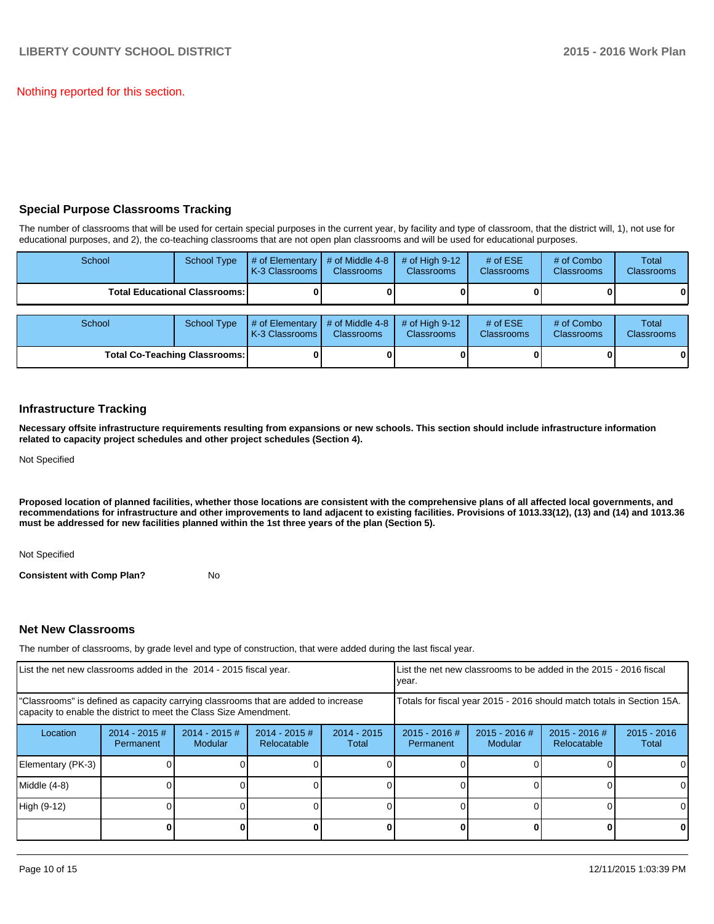Nothing reported for this section.

# **Special Purpose Classrooms Tracking**

The number of classrooms that will be used for certain special purposes in the current year, by facility and type of classroom, that the district will, 1), not use for educational purposes, and 2), the co-teaching classrooms that are not open plan classrooms and will be used for educational purposes.

| School                               | <b>School Type</b>                     | # of Elementary<br>K-3 Classrooms | # of Middle 4-8<br><b>Classrooms</b> | # of High $9-12$<br><b>Classrooms</b> | # of $ESE$<br>Classrooms        | # of Combo<br><b>Classrooms</b> | Total<br><b>Classrooms</b> |
|--------------------------------------|----------------------------------------|-----------------------------------|--------------------------------------|---------------------------------------|---------------------------------|---------------------------------|----------------------------|
|                                      | <b>Total Educational Classrooms: I</b> |                                   |                                      |                                       |                                 |                                 | 01                         |
| School                               | <b>School Type</b>                     | # of Elementary<br>K-3 Classrooms | # of Middle 4-8<br><b>Classrooms</b> | # of High $9-12$<br><b>Classrooms</b> | # of $ESE$<br><b>Classrooms</b> | # of Combo<br><b>Classrooms</b> | Total<br><b>Classrooms</b> |
| <b>Total Co-Teaching Classrooms:</b> |                                        |                                   |                                      |                                       |                                 |                                 | 01                         |

### **Infrastructure Tracking**

**Necessary offsite infrastructure requirements resulting from expansions or new schools. This section should include infrastructure information related to capacity project schedules and other project schedules (Section 4).**

Not Specified

**Proposed location of planned facilities, whether those locations are consistent with the comprehensive plans of all affected local governments, and recommendations for infrastructure and other improvements to land adjacent to existing facilities. Provisions of 1013.33(12), (13) and (14) and 1013.36 must be addressed for new facilities planned within the 1st three years of the plan (Section 5).**

Not Specified

**Consistent with Comp Plan?** No

# **Net New Classrooms**

The number of classrooms, by grade level and type of construction, that were added during the last fiscal year.

| List the net new classrooms added in the 2014 - 2015 fiscal year.                                                                                       | List the net new classrooms to be added in the 2015 - 2016 fiscal<br>Ivear. |                            |                                |                        |                                                                        |                            |                                |                        |
|---------------------------------------------------------------------------------------------------------------------------------------------------------|-----------------------------------------------------------------------------|----------------------------|--------------------------------|------------------------|------------------------------------------------------------------------|----------------------------|--------------------------------|------------------------|
| "Classrooms" is defined as capacity carrying classrooms that are added to increase<br>capacity to enable the district to meet the Class Size Amendment. |                                                                             |                            |                                |                        | Totals for fiscal year 2015 - 2016 should match totals in Section 15A. |                            |                                |                        |
| Location                                                                                                                                                | $2014 - 2015$ #<br>Permanent                                                | $2014 - 2015$ #<br>Modular | $2014 - 2015$ #<br>Relocatable | $2014 - 2015$<br>Total | 2015 - 2016 #<br>Permanent                                             | $2015 - 2016$ #<br>Modular | $2015 - 2016$ #<br>Relocatable | $2015 - 2016$<br>Total |
| Elementary (PK-3)                                                                                                                                       |                                                                             |                            |                                |                        |                                                                        |                            |                                | $\Omega$               |
| Middle (4-8)                                                                                                                                            |                                                                             |                            |                                |                        |                                                                        |                            |                                | $\Omega$               |
| High (9-12)                                                                                                                                             |                                                                             |                            |                                |                        |                                                                        |                            |                                | $\Omega$               |
|                                                                                                                                                         |                                                                             |                            |                                |                        |                                                                        |                            |                                | 0                      |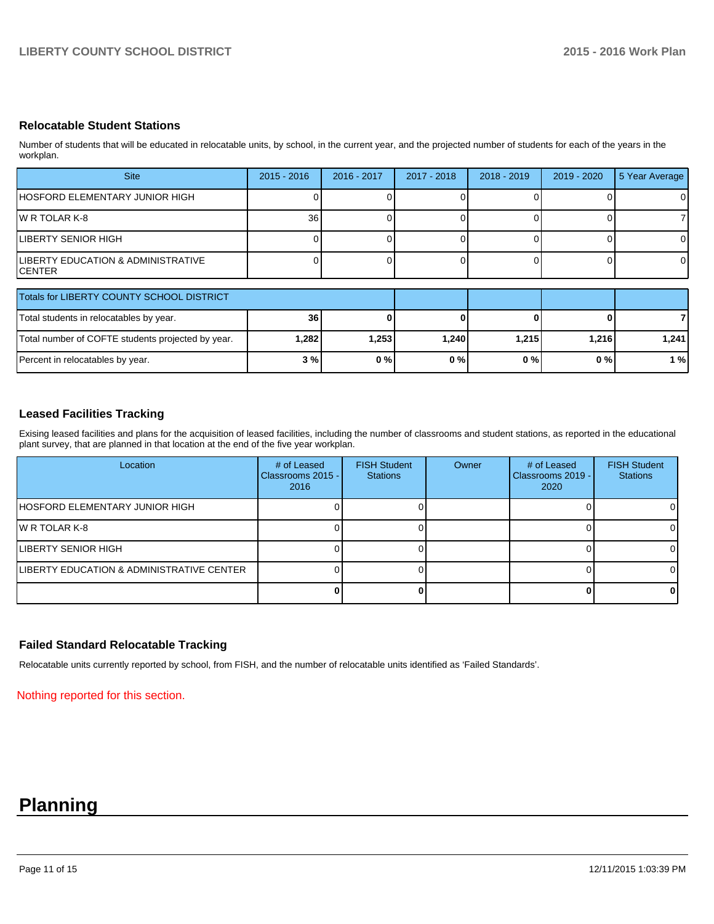# **Relocatable Student Stations**

Number of students that will be educated in relocatable units, by school, in the current year, and the projected number of students for each of the years in the workplan.

| <b>Site</b>                                               | $2015 - 2016$ | 2016 - 2017 | 2017 - 2018 | $2018 - 2019$ | 2019 - 2020 | 5 Year Average |
|-----------------------------------------------------------|---------------|-------------|-------------|---------------|-------------|----------------|
| IHOSFORD ELEMENTARY JUNIOR HIGH                           |               |             |             |               |             | 0              |
| IW R TOLAR K-8                                            | 36            |             |             |               |             |                |
| LIBERTY SENIOR HIGH                                       |               |             |             |               |             | 0              |
| <b>ILIBERTY EDUCATION &amp; ADMINISTRATIVE</b><br>ICENTER |               |             |             |               |             | $\Omega$       |

| Totals for LIBERTY COUNTY SCHOOL DISTRICT         |       |       |       |       |       |       |
|---------------------------------------------------|-------|-------|-------|-------|-------|-------|
| Total students in relocatables by year.           | 36    |       |       |       |       |       |
| Total number of COFTE students projected by year. | 282.ا | 1,253 | 1.240 | 1.215 | 1.216 | 1.241 |
| Percent in relocatables by year.                  | 3 %l  | 0%    | 0%    | 0 % I | 0 % I | 1%    |

### **Leased Facilities Tracking**

Exising leased facilities and plans for the acquisition of leased facilities, including the number of classrooms and student stations, as reported in the educational plant survey, that are planned in that location at the end of the five year workplan.

| Location                                              | # of Leased<br>Classrooms 2015 - I<br>2016 | <b>FISH Student</b><br><b>Stations</b> | Owner | # of Leased<br>Classrooms 2019 - I<br>2020 | <b>FISH Student</b><br><b>Stations</b> |
|-------------------------------------------------------|--------------------------------------------|----------------------------------------|-------|--------------------------------------------|----------------------------------------|
| IHOSFORD ELEMENTARY JUNIOR HIGH                       |                                            |                                        |       |                                            | 0                                      |
| IW R TOLAR K-8                                        |                                            |                                        |       |                                            |                                        |
| <b>ILIBERTY SENIOR HIGH</b>                           |                                            |                                        |       |                                            |                                        |
| <b>ILIBERTY EDUCATION &amp; ADMINISTRATIVE CENTER</b> |                                            |                                        |       |                                            |                                        |
|                                                       |                                            |                                        |       |                                            |                                        |

# **Failed Standard Relocatable Tracking**

Relocatable units currently reported by school, from FISH, and the number of relocatable units identified as 'Failed Standards'.

Nothing reported for this section.

# **Planning**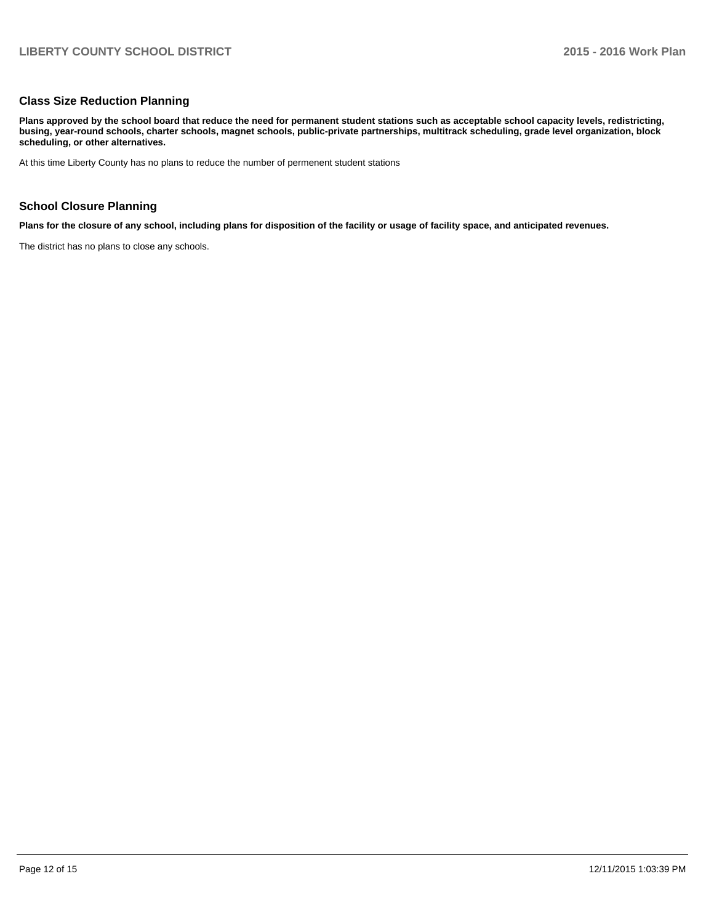#### **Class Size Reduction Planning**

**Plans approved by the school board that reduce the need for permanent student stations such as acceptable school capacity levels, redistricting, busing, year-round schools, charter schools, magnet schools, public-private partnerships, multitrack scheduling, grade level organization, block scheduling, or other alternatives.**

At this time Liberty County has no plans to reduce the number of permenent student stations

### **School Closure Planning**

**Plans for the closure of any school, including plans for disposition of the facility or usage of facility space, and anticipated revenues.**

The district has no plans to close any schools.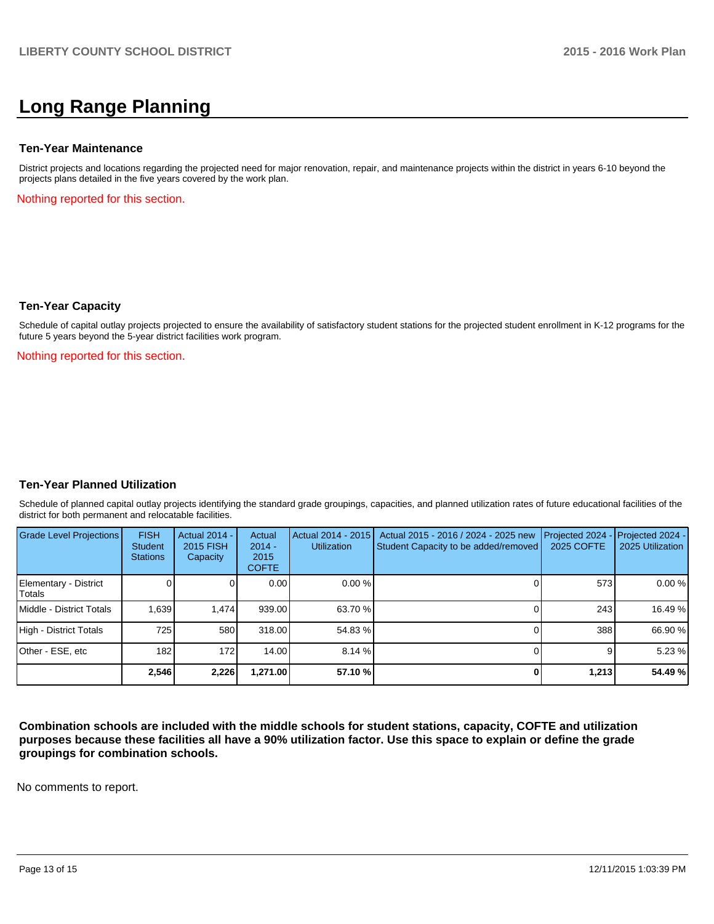# **Long Range Planning**

#### **Ten-Year Maintenance**

District projects and locations regarding the projected need for major renovation, repair, and maintenance projects within the district in years 6-10 beyond the projects plans detailed in the five years covered by the work plan.

Nothing reported for this section.

### **Ten-Year Capacity**

Schedule of capital outlay projects projected to ensure the availability of satisfactory student stations for the projected student enrollment in K-12 programs for the future 5 years beyond the 5-year district facilities work program.

Nothing reported for this section.

### **Ten-Year Planned Utilization**

Schedule of planned capital outlay projects identifying the standard grade groupings, capacities, and planned utilization rates of future educational facilities of the district for both permanent and relocatable facilities.

| Grade Level Projections         | <b>FISH</b><br><b>Student</b><br><b>Stations</b> | <b>Actual 2014 -</b><br>2015 FISH<br>Capacity | Actual<br>$2014 -$<br>2015<br><b>COFTE</b> | Actual 2014 - 2015<br><b>Utilization</b> | Actual 2015 - 2016 / 2024 - 2025 new<br>Student Capacity to be added/removed | Projected 2024<br><b>2025 COFTE</b> | $-$ Projected 2024 -<br>2025 Utilization |
|---------------------------------|--------------------------------------------------|-----------------------------------------------|--------------------------------------------|------------------------------------------|------------------------------------------------------------------------------|-------------------------------------|------------------------------------------|
| Elementary - District<br>Totals |                                                  |                                               | 0.00                                       | $0.00\%$                                 |                                                                              | 573                                 | 0.00%                                    |
| Middle - District Totals        | 1.639                                            | 1.474                                         | 939.00                                     | 63.70 %                                  |                                                                              | 243                                 | 16.49 %                                  |
| High - District Totals          | 725                                              | 580                                           | 318.00                                     | 54.83 %                                  |                                                                              | 388                                 | 66.90 %                                  |
| Other - ESE, etc                | 182                                              | 172                                           | 14.00                                      | 8.14%                                    |                                                                              | 9                                   | 5.23 %                                   |
|                                 | 2.546                                            | 2,226                                         | 1,271.00                                   | 57.10 %                                  |                                                                              | 1,213                               | 54.49 %                                  |

**Combination schools are included with the middle schools for student stations, capacity, COFTE and utilization purposes because these facilities all have a 90% utilization factor. Use this space to explain or define the grade groupings for combination schools.**

No comments to report.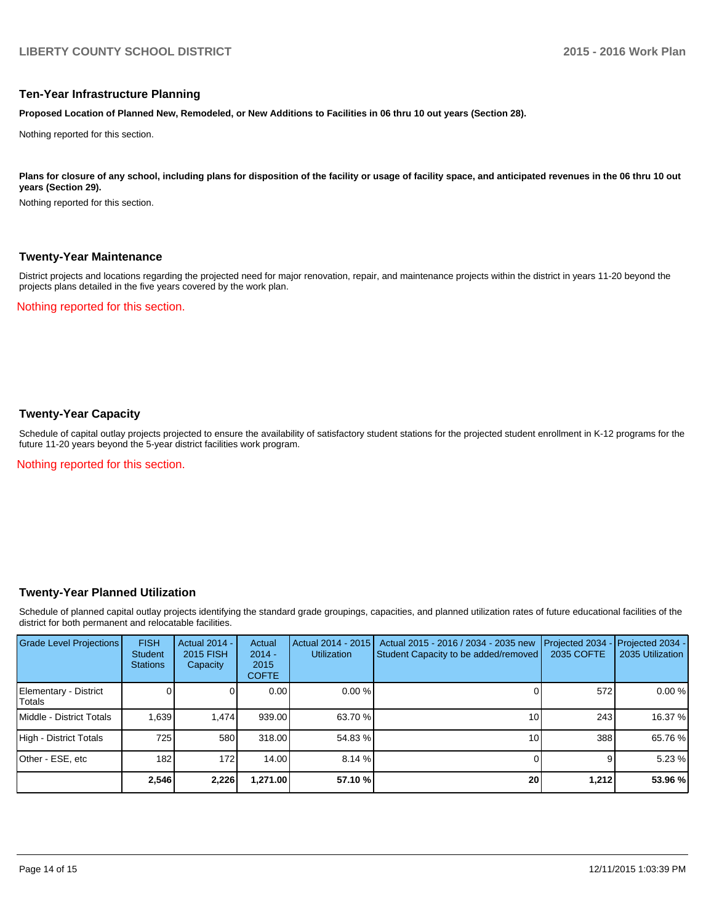### **Ten-Year Infrastructure Planning**

**Proposed Location of Planned New, Remodeled, or New Additions to Facilities in 06 thru 10 out years (Section 28).**

Nothing reported for this section.

Plans for closure of any school, including plans for disposition of the facility or usage of facility space, and anticipated revenues in the 06 thru 10 out **years (Section 29).**

Nothing reported for this section.

### **Twenty-Year Maintenance**

District projects and locations regarding the projected need for major renovation, repair, and maintenance projects within the district in years 11-20 beyond the projects plans detailed in the five years covered by the work plan.

Nothing reported for this section.

## **Twenty-Year Capacity**

Schedule of capital outlay projects projected to ensure the availability of satisfactory student stations for the projected student enrollment in K-12 programs for the future 11-20 years beyond the 5-year district facilities work program.

Nothing reported for this section.

### **Twenty-Year Planned Utilization**

Schedule of planned capital outlay projects identifying the standard grade groupings, capacities, and planned utilization rates of future educational facilities of the district for both permanent and relocatable facilities.

| <b>Grade Level Projections</b>  | <b>FISH</b><br><b>Student</b><br><b>Stations</b> | <b>Actual 2014 -</b><br>2015 FISH<br>Capacity | Actual<br>$2014 -$<br>2015<br><b>COFTE</b> | Actual 2014 - 2015<br><b>Utilization</b> | Actual 2015 - 2016 / 2034 - 2035 new<br>Student Capacity to be added/removed | Projected 2034<br>2035 COFTE | Projected 2034 -<br>2035 Utilization |
|---------------------------------|--------------------------------------------------|-----------------------------------------------|--------------------------------------------|------------------------------------------|------------------------------------------------------------------------------|------------------------------|--------------------------------------|
| Elementary - District<br>Totals |                                                  |                                               | 0.00                                       | $0.00\%$                                 |                                                                              | 572                          | 0.00%                                |
| Middle - District Totals        | 1.639                                            | 1.474                                         | 939.00                                     | 63.70 %                                  | 10                                                                           | 243                          | 16.37 %                              |
| High - District Totals          | 725                                              | 580                                           | 318.00                                     | 54.83 %                                  | 10                                                                           | 388                          | 65.76 %                              |
| Other - ESE, etc                | 182                                              | 172                                           | 14.00                                      | $8.14\%$                                 |                                                                              |                              | 5.23 %                               |
|                                 | 2.546                                            | 2,226                                         | 1,271.00                                   | 57.10 %                                  | 20                                                                           | 1,212                        | 53.96 %                              |